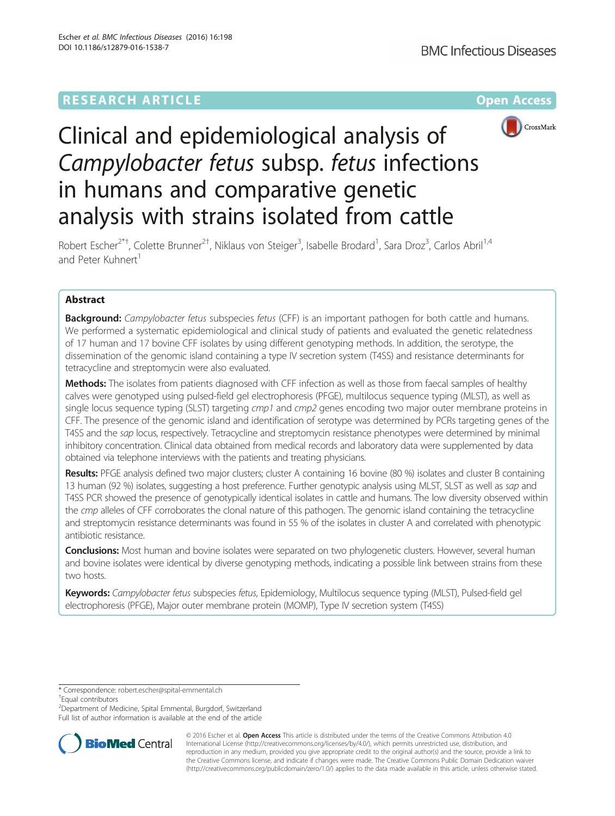# **RESEARCH ARTICLE Example 2014 12:30 The Company Access** (RESEARCH ARTICLE



# Clinical and epidemiological analysis of Campylobacter fetus subsp. fetus infections in humans and comparative genetic analysis with strains isolated from cattle

Robert Escher<sup>2\*†</sup>, Colette Brunner<sup>2†</sup>, Niklaus von Steiger<sup>3</sup>, Isabelle Brodard<sup>1</sup>, Sara Droz<sup>3</sup>, Carlos Abril<sup>1,4</sup> and Peter Kuhnert<sup>1</sup>

# Abstract

**Background:** Campylobacter fetus subspecies fetus (CFF) is an important pathogen for both cattle and humans. We performed a systematic epidemiological and clinical study of patients and evaluated the genetic relatedness of 17 human and 17 bovine CFF isolates by using different genotyping methods. In addition, the serotype, the dissemination of the genomic island containing a type IV secretion system (T4SS) and resistance determinants for tetracycline and streptomycin were also evaluated.

Methods: The isolates from patients diagnosed with CFF infection as well as those from faecal samples of healthy calves were genotyped using pulsed-field gel electrophoresis (PFGE), multilocus sequence typing (MLST), as well as single locus sequence typing (SLST) targeting cmp1 and cmp2 genes encoding two major outer membrane proteins in CFF. The presence of the genomic island and identification of serotype was determined by PCRs targeting genes of the T4SS and the sap locus, respectively. Tetracycline and streptomycin resistance phenotypes were determined by minimal inhibitory concentration. Clinical data obtained from medical records and laboratory data were supplemented by data obtained via telephone interviews with the patients and treating physicians.

Results: PFGE analysis defined two major clusters; cluster A containing 16 bovine (80 %) isolates and cluster B containing 13 human (92 %) isolates, suggesting a host preference. Further genotypic analysis using MLST, SLST as well as sap and T4SS PCR showed the presence of genotypically identical isolates in cattle and humans. The low diversity observed within the *cmp* alleles of CFF corroborates the clonal nature of this pathogen. The genomic island containing the tetracycline and streptomycin resistance determinants was found in 55 % of the isolates in cluster A and correlated with phenotypic antibiotic resistance.

Conclusions: Most human and bovine isolates were separated on two phylogenetic clusters. However, several human and bovine isolates were identical by diverse genotyping methods, indicating a possible link between strains from these two hosts.

Keywords: Campylobacter fetus subspecies fetus, Epidemiology, Multilocus sequence typing (MLST), Pulsed-field gel electrophoresis (PFGE), Major outer membrane protein (MOMP), Type IV secretion system (T4SS)

\* Correspondence: [robert.escher@spital-emmental.ch](mailto:robert.escher@spital-emmental.ch) †

Equal contributors

<sup>2</sup> Department of Medicine, Spital Emmental, Burgdorf, Switzerland Full list of author information is available at the end of the article



© 2016 Escher et al. Open Access This article is distributed under the terms of the Creative Commons Attribution 4.0 International License [\(http://creativecommons.org/licenses/by/4.0/](http://creativecommons.org/licenses/by/4.0/)), which permits unrestricted use, distribution, and reproduction in any medium, provided you give appropriate credit to the original author(s) and the source, provide a link to the Creative Commons license, and indicate if changes were made. The Creative Commons Public Domain Dedication waiver [\(http://creativecommons.org/publicdomain/zero/1.0/](http://creativecommons.org/publicdomain/zero/1.0/)) applies to the data made available in this article, unless otherwise stated.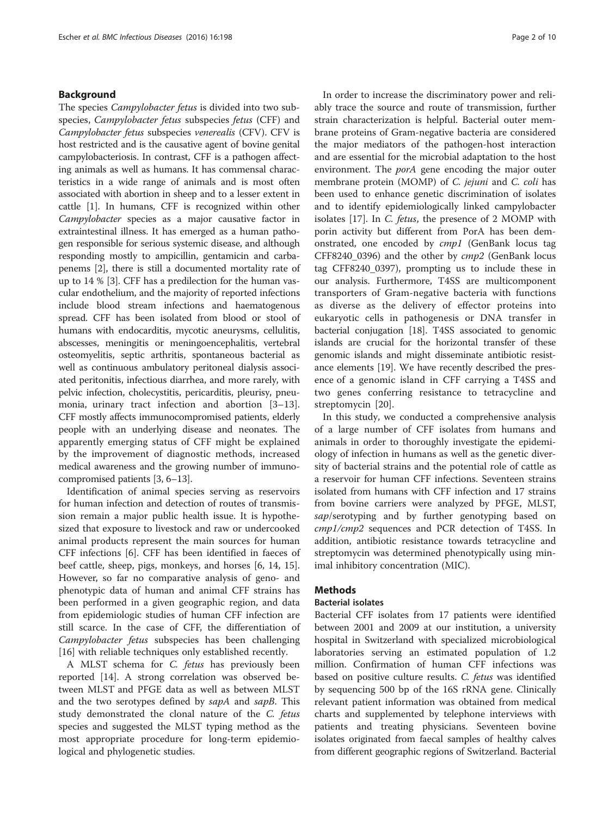## Background

The species *Campylobacter fetus* is divided into two subspecies, Campylobacter fetus subspecies fetus (CFF) and Campylobacter fetus subspecies venerealis (CFV). CFV is host restricted and is the causative agent of bovine genital campylobacteriosis. In contrast, CFF is a pathogen affecting animals as well as humans. It has commensal characteristics in a wide range of animals and is most often associated with abortion in sheep and to a lesser extent in cattle [[1\]](#page-8-0). In humans, CFF is recognized within other Campylobacter species as a major causative factor in extraintestinal illness. It has emerged as a human pathogen responsible for serious systemic disease, and although responding mostly to ampicillin, gentamicin and carbapenems [[2](#page-8-0)], there is still a documented mortality rate of up to 14 % [[3](#page-8-0)]. CFF has a predilection for the human vascular endothelium, and the majority of reported infections include blood stream infections and haematogenous spread. CFF has been isolated from blood or stool of humans with endocarditis, mycotic aneurysms, cellulitis, abscesses, meningitis or meningoencephalitis, vertebral osteomyelitis, septic arthritis, spontaneous bacterial as well as continuous ambulatory peritoneal dialysis associated peritonitis, infectious diarrhea, and more rarely, with pelvic infection, cholecystitis, pericarditis, pleurisy, pneumonia, urinary tract infection and abortion [\[3](#page-8-0)–[13](#page-8-0)]. CFF mostly affects immunocompromised patients, elderly people with an underlying disease and neonates. The apparently emerging status of CFF might be explained by the improvement of diagnostic methods, increased medical awareness and the growing number of immunocompromised patients [\[3](#page-8-0), [6](#page-8-0)–[13](#page-8-0)].

Identification of animal species serving as reservoirs for human infection and detection of routes of transmission remain a major public health issue. It is hypothesized that exposure to livestock and raw or undercooked animal products represent the main sources for human CFF infections [\[6](#page-8-0)]. CFF has been identified in faeces of beef cattle, sheep, pigs, monkeys, and horses [\[6](#page-8-0), [14, 15](#page-8-0)]. However, so far no comparative analysis of geno- and phenotypic data of human and animal CFF strains has been performed in a given geographic region, and data from epidemiologic studies of human CFF infection are still scarce. In the case of CFF, the differentiation of Campylobacter fetus subspecies has been challenging [[16\]](#page-8-0) with reliable techniques only established recently.

A MLST schema for C. fetus has previously been reported [\[14](#page-8-0)]. A strong correlation was observed between MLST and PFGE data as well as between MLST and the two serotypes defined by sapA and sapB. This study demonstrated the clonal nature of the C. fetus species and suggested the MLST typing method as the most appropriate procedure for long-term epidemiological and phylogenetic studies.

In order to increase the discriminatory power and reliably trace the source and route of transmission, further strain characterization is helpful. Bacterial outer membrane proteins of Gram-negative bacteria are considered the major mediators of the pathogen-host interaction and are essential for the microbial adaptation to the host environment. The *porA* gene encoding the major outer membrane protein (MOMP) of *C. jejuni* and *C. coli* has been used to enhance genetic discrimination of isolates and to identify epidemiologically linked campylobacter isolates [\[17](#page-8-0)]. In C. fetus, the presence of 2 MOMP with porin activity but different from PorA has been demonstrated, one encoded by cmp1 (GenBank locus tag CFF8240\_0396) and the other by cmp2 (GenBank locus tag CFF8240\_0397), prompting us to include these in our analysis. Furthermore, T4SS are multicomponent transporters of Gram-negative bacteria with functions as diverse as the delivery of effector proteins into eukaryotic cells in pathogenesis or DNA transfer in bacterial conjugation [\[18\]](#page-8-0). T4SS associated to genomic islands are crucial for the horizontal transfer of these genomic islands and might disseminate antibiotic resistance elements [[19](#page-8-0)]. We have recently described the presence of a genomic island in CFF carrying a T4SS and two genes conferring resistance to tetracycline and streptomycin [\[20](#page-8-0)].

In this study, we conducted a comprehensive analysis of a large number of CFF isolates from humans and animals in order to thoroughly investigate the epidemiology of infection in humans as well as the genetic diversity of bacterial strains and the potential role of cattle as a reservoir for human CFF infections. Seventeen strains isolated from humans with CFF infection and 17 strains from bovine carriers were analyzed by PFGE, MLST, sap/serotyping and by further genotyping based on cmp1/cmp2 sequences and PCR detection of T4SS. In addition, antibiotic resistance towards tetracycline and streptomycin was determined phenotypically using minimal inhibitory concentration (MIC).

# **Methods**

#### Bacterial isolates

Bacterial CFF isolates from 17 patients were identified between 2001 and 2009 at our institution, a university hospital in Switzerland with specialized microbiological laboratories serving an estimated population of 1.2 million. Confirmation of human CFF infections was based on positive culture results. C. fetus was identified by sequencing 500 bp of the 16S rRNA gene. Clinically relevant patient information was obtained from medical charts and supplemented by telephone interviews with patients and treating physicians. Seventeen bovine isolates originated from faecal samples of healthy calves from different geographic regions of Switzerland. Bacterial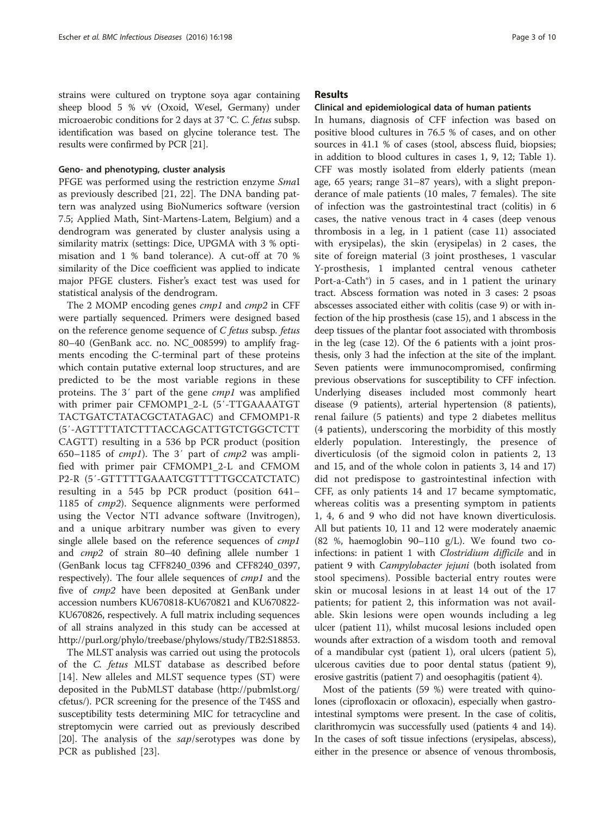strains were cultured on tryptone soya agar containing sheep blood 5 % v⁄v (Oxoid, Wesel, Germany) under microaerobic conditions for 2 days at 37 °C. C. fetus subsp. identification was based on glycine tolerance test. The results were confirmed by PCR [[21](#page-8-0)].

#### Geno- and phenotyping, cluster analysis

PFGE was performed using the restriction enzyme SmaI as previously described [\[21, 22](#page-8-0)]. The DNA banding pattern was analyzed using BioNumerics software (version 7.5; Applied Math, Sint-Martens-Latem, Belgium) and a dendrogram was generated by cluster analysis using a similarity matrix (settings: Dice, UPGMA with 3 % optimisation and 1 % band tolerance). A cut-off at 70 % similarity of the Dice coefficient was applied to indicate major PFGE clusters. Fisher's exact test was used for statistical analysis of the dendrogram.

The 2 MOMP encoding genes *cmp1* and *cmp2* in CFF were partially sequenced. Primers were designed based on the reference genome sequence of C fetus subsp. fetus 80–40 (GenBank acc. no. NC\_008599) to amplify fragments encoding the C-terminal part of these proteins which contain putative external loop structures, and are predicted to be the most variable regions in these proteins. The 3′ part of the gene cmp1 was amplified with primer pair CFMOMP1\_2-L (5′-TTGAAAATGT TACTGATCTATACGCTATAGAC) and CFMOMP1-R (5′-AGTTTTATCTTTACCAGCATTGTCTGGCTCTT CAGTT) resulting in a 536 bp PCR product (position 650–1185 of  $cmp1$ ). The 3' part of  $cmp2$  was amplified with primer pair CFMOMP1\_2-L and CFMOM P2-R (5′-GTTTTTGAAATCGTTTTTGCCATCTATC) resulting in a 545 bp PCR product (position 641– 1185 of cmp2). Sequence alignments were performed using the Vector NTI advance software (Invitrogen), and a unique arbitrary number was given to every single allele based on the reference sequences of cmp1 and cmp2 of strain 80–40 defining allele number 1 (GenBank locus tag CFF8240\_0396 and CFF8240\_0397, respectively). The four allele sequences of cmp1 and the five of cmp2 have been deposited at GenBank under accession numbers KU670818-KU670821 and KU670822- KU670826, respectively. A full matrix including sequences of all strains analyzed in this study can be accessed at <http://purl.org/phylo/treebase/phylows/study/TB2:S18853>.

The MLST analysis was carried out using the protocols of the C. fetus MLST database as described before [[14\]](#page-8-0). New alleles and MLST sequence types (ST) were deposited in the PubMLST database [\(http://pubmlst.org/](http://pubmlst.org/cfetus/) [cfetus/\)](http://pubmlst.org/cfetus/). PCR screening for the presence of the T4SS and susceptibility tests determining MIC for tetracycline and streptomycin were carried out as previously described [[20](#page-8-0)]. The analysis of the  $\frac{sup}{s}$  serotypes was done by PCR as published [\[23](#page-8-0)].

## Results

# Clinical and epidemiological data of human patients

In humans, diagnosis of CFF infection was based on positive blood cultures in 76.5 % of cases, and on other sources in 41.1 % of cases (stool, abscess fluid, biopsies; in addition to blood cultures in cases 1, 9, 12; Table [1](#page-3-0)). CFF was mostly isolated from elderly patients (mean age, 65 years; range 31–87 years), with a slight preponderance of male patients (10 males, 7 females). The site of infection was the gastrointestinal tract (colitis) in 6 cases, the native venous tract in 4 cases (deep venous thrombosis in a leg, in 1 patient (case 11) associated with erysipelas), the skin (erysipelas) in 2 cases, the site of foreign material (3 joint prostheses, 1 vascular Y-prosthesis, 1 implanted central venous catheter Port-a-Cath®) in 5 cases, and in 1 patient the urinary tract. Abscess formation was noted in 3 cases: 2 psoas abscesses associated either with colitis (case 9) or with infection of the hip prosthesis (case 15), and 1 abscess in the deep tissues of the plantar foot associated with thrombosis in the leg (case 12). Of the 6 patients with a joint prosthesis, only 3 had the infection at the site of the implant. Seven patients were immunocompromised, confirming previous observations for susceptibility to CFF infection. Underlying diseases included most commonly heart disease (9 patients), arterial hypertension (8 patients), renal failure (5 patients) and type 2 diabetes mellitus (4 patients), underscoring the morbidity of this mostly elderly population. Interestingly, the presence of diverticulosis (of the sigmoid colon in patients 2, 13 and 15, and of the whole colon in patients 3, 14 and 17) did not predispose to gastrointestinal infection with CFF, as only patients 14 and 17 became symptomatic, whereas colitis was a presenting symptom in patients 1, 4, 6 and 9 who did not have known diverticulosis. All but patients 10, 11 and 12 were moderately anaemic (82 %, haemoglobin 90–110 g/L). We found two coinfections: in patient 1 with Clostridium difficile and in patient 9 with Campylobacter jejuni (both isolated from stool specimens). Possible bacterial entry routes were skin or mucosal lesions in at least 14 out of the 17 patients; for patient 2, this information was not available. Skin lesions were open wounds including a leg ulcer (patient 11), whilst mucosal lesions included open wounds after extraction of a wisdom tooth and removal of a mandibular cyst (patient 1), oral ulcers (patient 5), ulcerous cavities due to poor dental status (patient 9), erosive gastritis (patient 7) and oesophagitis (patient 4).

Most of the patients (59 %) were treated with quinolones (ciprofloxacin or ofloxacin), especially when gastrointestinal symptoms were present. In the case of colitis, clarithromycin was successfully used (patients 4 and 14). In the cases of soft tissue infections (erysipelas, abscess), either in the presence or absence of venous thrombosis,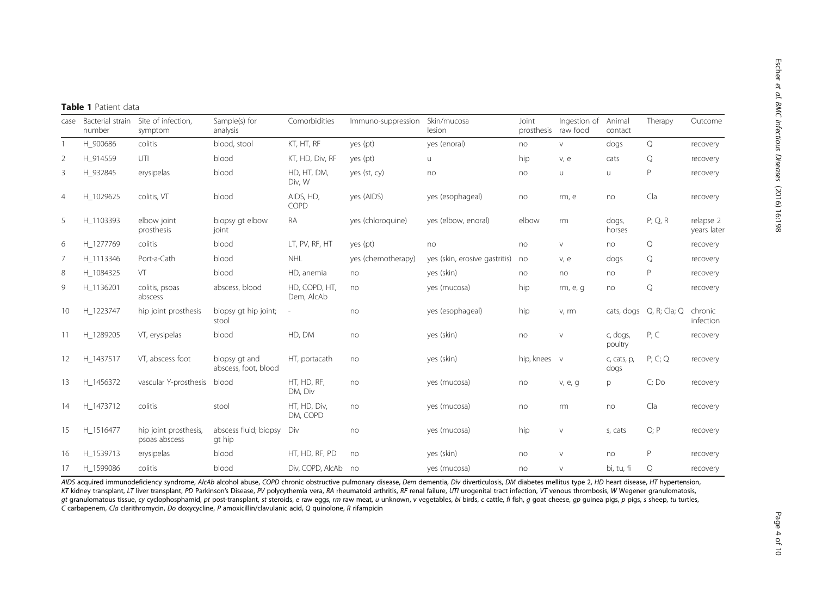<span id="page-3-0"></span>

|                | Table 1 Patient data       |                                        |                                       |                             |                    |                               |                              |              |                     |              |                          |  |  |  |
|----------------|----------------------------|----------------------------------------|---------------------------------------|-----------------------------|--------------------|-------------------------------|------------------------------|--------------|---------------------|--------------|--------------------------|--|--|--|
| case           | Bacterial strain<br>number | Site of infection,<br>symptom          | Sample(s) for<br>analysis             | Comorbidities               | Immuno-suppression | Skin/mucosa<br>lesion         | Joint<br>prosthesis raw food | Ingestion of | Animal<br>contact   | Therapy      | Outcome                  |  |  |  |
| $\overline{1}$ | H 900686                   | colitis                                | blood, stool                          | KT, HT, RF                  | yes (pt)           | yes (enoral)                  | no                           | V            | dogs                | Q            | recovery                 |  |  |  |
| 2              | H 914559                   | UTI                                    | blood                                 | KT, HD, Div, RF             | yes (pt)           | U                             | hip                          | v, e         | cats                | Q            | recovery                 |  |  |  |
| 3              | H 932845                   | erysipelas                             | blood                                 | HD, HT, DM,<br>Div, W       | yes (st, cy)       | no                            | no                           | u            | u                   | P            | recovery                 |  |  |  |
| $\overline{4}$ | H_1029625                  | colitis, VT                            | blood                                 | AIDS, HD,<br>COPD           | yes (AIDS)         | yes (esophageal)              | no                           | rm, e        | no                  | Cla          | recovery                 |  |  |  |
| 5              | H 1103393                  | elbow joint<br>prosthesis              | biopsy gt elbow<br>joint              | RA                          | yes (chloroquine)  | yes (elbow, enoral)           | elbow                        | rm           | dogs,<br>horses     | $P$ ; Q, R   | relapse 2<br>years later |  |  |  |
| 6              | H 1277769                  | colitis                                | blood                                 | LT, PV, RF, HT              | yes (pt)           | no                            | no                           | $\vee$       | no                  | Q            | recovery                 |  |  |  |
| 7              | H 1113346                  | Port-a-Cath                            | blood                                 | <b>NHL</b>                  | yes (chemotherapy) | yes (skin, erosive gastritis) | no                           | V, e         | dogs                | Q            | recovery                 |  |  |  |
| 8              | H 1084325                  | VT                                     | blood                                 | HD, anemia                  | no                 | yes (skin)                    | no                           | no           | no                  | Ρ            | recovery                 |  |  |  |
| 9              | H 1136201                  | colitis, psoas<br>abscess              | abscess, blood                        | HD, COPD, HT,<br>Dem, AlcAb | no                 | yes (mucosa)                  | hip                          | rm, e, g     | no                  | Q            | recovery                 |  |  |  |
| 10             | H_1223747                  | hip joint prosthesis                   | biopsy qt hip joint;<br>stool         | $\overline{\phantom{a}}$    | no                 | yes (esophageal)              | hip                          | v, rm        | cats, dogs          | Q, R; Cla; Q | chronic<br>infection     |  |  |  |
| 11             | H 1289205                  | VT, erysipelas                         | blood                                 | HD, DM                      | no                 | yes (skin)                    | no                           | $\vee$       | c, dogs,<br>poultry | P; C         | recovery                 |  |  |  |
| 12             | H 1437517                  | VT, abscess foot                       | biopsy gt and<br>abscess, foot, blood | HT, portacath               | no                 | yes (skin)                    | hip, knees v                 |              | c, cats, p,<br>dogs | P; C; Q      | recovery                 |  |  |  |
| 13             | H 1456372                  | vascular Y-prosthesis                  | blood                                 | HT, HD, RF,<br>DM, Div      | no                 | yes (mucosa)                  | no                           | v, e, g      | p                   | C; Do        | recovery                 |  |  |  |
| 14             | H 1473712                  | colitis                                | stool                                 | HT, HD, Div,<br>DM, COPD    | no                 | yes (mucosa)                  | no                           | rm           | no                  | Cla          | recovery                 |  |  |  |
| 15             | H 1516477                  | hip joint prosthesis,<br>psoas abscess | abscess fluid; biopsy<br>gt hip       | Div                         | no                 | yes (mucosa)                  | hip                          | $\vee$       | s, cats             | Q; P         | recovery                 |  |  |  |
| 16             | H 1539713                  | erysipelas                             | blood                                 | HT, HD, RF, PD              | no                 | yes (skin)                    | no                           | $\vee$       | no                  | P            | recovery                 |  |  |  |
| 17             | H 1599086                  | colitis                                | blood                                 | Div, COPD, AlcAb no         |                    | yes (mucosa)                  | no                           | $\vee$       | bi, tu, fi          | Q            | recovery                 |  |  |  |

AIDS acquired immunodeficiency syndrome, AlcAb alcohol abuse, COPD chronic obstructive pulmonary disease, Dem dementia, Div diverticulosis, DM diabetes mellitus type 2, HD heart disease, HT hypertension, KT kidney transplant, LT liver transplant, PD Parkinson's Disease, PV polycythemia vera, RA rheumatoid arthritis, RF renal failure, UTI urogenital tract infection, VT venous thrombosis, W Wegener granulomatosis, gt granulomatous tissue, cy cyclophosphamid, pt post-transplant, st steroids, e raw eggs, rm raw meat, u unknown, v vegetables, bi birds, c cattle, fi fish, g goat cheese, gp guinea pigs, p pigs, s sheep, tu turtles, C carbapenem, Cla clarithromycin, Do doxycycline, P amoxicillin/clavulanic acid, Q quinolone, R rifampicin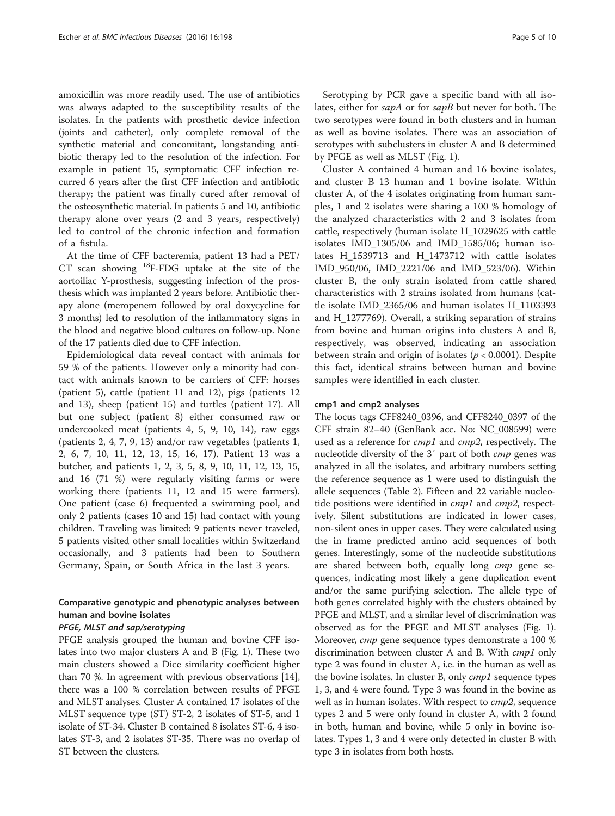amoxicillin was more readily used. The use of antibiotics was always adapted to the susceptibility results of the isolates. In the patients with prosthetic device infection (joints and catheter), only complete removal of the synthetic material and concomitant, longstanding antibiotic therapy led to the resolution of the infection. For example in patient 15, symptomatic CFF infection recurred 6 years after the first CFF infection and antibiotic therapy; the patient was finally cured after removal of the osteosynthetic material. In patients 5 and 10, antibiotic therapy alone over years (2 and 3 years, respectively) led to control of the chronic infection and formation of a fistula.

At the time of CFF bacteremia, patient 13 had a PET/ CT scan showing  $^{18}$ F-FDG uptake at the site of the aortoiliac Y-prosthesis, suggesting infection of the prosthesis which was implanted 2 years before. Antibiotic therapy alone (meropenem followed by oral doxycycline for 3 months) led to resolution of the inflammatory signs in the blood and negative blood cultures on follow-up. None of the 17 patients died due to CFF infection.

Epidemiological data reveal contact with animals for 59 % of the patients. However only a minority had contact with animals known to be carriers of CFF: horses (patient 5), cattle (patient 11 and 12), pigs (patients 12 and 13), sheep (patient 15) and turtles (patient 17). All but one subject (patient 8) either consumed raw or undercooked meat (patients 4, 5, 9, 10, 14), raw eggs (patients 2, 4, 7, 9, 13) and/or raw vegetables (patients 1, 2, 6, 7, 10, 11, 12, 13, 15, 16, 17). Patient 13 was a butcher, and patients 1, 2, 3, 5, 8, 9, 10, 11, 12, 13, 15, and 16 (71 %) were regularly visiting farms or were working there (patients 11, 12 and 15 were farmers). One patient (case 6) frequented a swimming pool, and only 2 patients (cases 10 and 15) had contact with young children. Traveling was limited: 9 patients never traveled, 5 patients visited other small localities within Switzerland occasionally, and 3 patients had been to Southern Germany, Spain, or South Africa in the last 3 years.

# Comparative genotypic and phenotypic analyses between human and bovine isolates

# PFGE, MLST and sap/serotyping

PFGE analysis grouped the human and bovine CFF isolates into two major clusters A and B (Fig. [1\)](#page-5-0). These two main clusters showed a Dice similarity coefficient higher than 70 %. In agreement with previous observations [[14](#page-8-0)], there was a 100 % correlation between results of PFGE and MLST analyses. Cluster A contained 17 isolates of the MLST sequence type (ST) ST-2, 2 isolates of ST-5, and 1 isolate of ST-34. Cluster B contained 8 isolates ST-6, 4 isolates ST-3, and 2 isolates ST-35. There was no overlap of ST between the clusters.

Serotyping by PCR gave a specific band with all isolates, either for sapA or for sapB but never for both. The two serotypes were found in both clusters and in human as well as bovine isolates. There was an association of serotypes with subclusters in cluster A and B determined by PFGE as well as MLST (Fig. [1](#page-5-0)).

Cluster A contained 4 human and 16 bovine isolates, and cluster B 13 human and 1 bovine isolate. Within cluster A, of the 4 isolates originating from human samples, 1 and 2 isolates were sharing a 100 % homology of the analyzed characteristics with 2 and 3 isolates from cattle, respectively (human isolate H\_1029625 with cattle isolates IMD\_1305/06 and IMD\_1585/06; human isolates H\_1539713 and H\_1473712 with cattle isolates IMD\_950/06, IMD\_2221/06 and IMD\_523/06). Within cluster B, the only strain isolated from cattle shared characteristics with 2 strains isolated from humans (cattle isolate IMD\_2365/06 and human isolates H\_1103393 and H\_1277769). Overall, a striking separation of strains from bovine and human origins into clusters A and B, respectively, was observed, indicating an association between strain and origin of isolates ( $p < 0.0001$ ). Despite this fact, identical strains between human and bovine samples were identified in each cluster.

#### cmp1 and cmp2 analyses

The locus tags CFF8240\_0396, and CFF8240\_0397 of the CFF strain 82–40 (GenBank acc. No: NC\_008599) were used as a reference for *cmp1* and *cmp2*, respectively. The nucleotide diversity of the 3' part of both *cmp* genes was analyzed in all the isolates, and arbitrary numbers setting the reference sequence as 1 were used to distinguish the allele sequences (Table [2\)](#page-6-0). Fifteen and 22 variable nucleotide positions were identified in *cmp1* and *cmp2*, respectively. Silent substitutions are indicated in lower cases, non-silent ones in upper cases. They were calculated using the in frame predicted amino acid sequences of both genes. Interestingly, some of the nucleotide substitutions are shared between both, equally long cmp gene sequences, indicating most likely a gene duplication event and/or the same purifying selection. The allele type of both genes correlated highly with the clusters obtained by PFGE and MLST, and a similar level of discrimination was observed as for the PFGE and MLST analyses (Fig. [1](#page-5-0)). Moreover, cmp gene sequence types demonstrate a 100 % discrimination between cluster A and B. With *cmp1* only type 2 was found in cluster A, i.e. in the human as well as the bovine isolates. In cluster B, only *cmp1* sequence types 1, 3, and 4 were found. Type 3 was found in the bovine as well as in human isolates. With respect to cmp2, sequence types 2 and 5 were only found in cluster A, with 2 found in both, human and bovine, while 5 only in bovine isolates. Types 1, 3 and 4 were only detected in cluster B with type 3 in isolates from both hosts.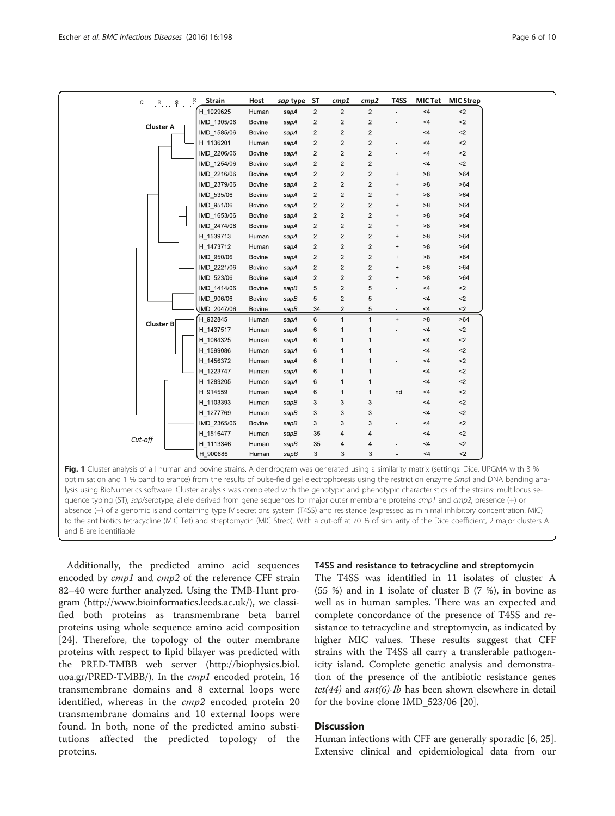<span id="page-5-0"></span>

|                                                                                                                                               | 8                | 8 | 8 | <b>Strain</b> | Host          | sap type | <b>ST</b>      | cmp1           | cmp2                    | T4SS                             |            | MIC Tet MIC Strep |
|-----------------------------------------------------------------------------------------------------------------------------------------------|------------------|---|---|---------------|---------------|----------|----------------|----------------|-------------------------|----------------------------------|------------|-------------------|
|                                                                                                                                               |                  |   |   | H 1029625     | Human         | sapA     | $\overline{2}$ | $\overline{2}$ | $\overline{2}$          |                                  | $<$ 4      | $2$               |
|                                                                                                                                               | <b>Cluster A</b> |   |   | IMD 1305/06   | Bovine        | sapA     | $\sqrt{2}$     | $\overline{c}$ | $\overline{c}$          |                                  | <4         | $2$               |
|                                                                                                                                               |                  |   |   | IMD_1585/06   | Bovine        | sapA     | $\overline{c}$ | $\overline{2}$ | $\overline{c}$          |                                  | <4         | $<$ 2             |
|                                                                                                                                               |                  |   |   | H 1136201     | Human         | sapA     | $\overline{c}$ | $\overline{2}$ | $\overline{c}$          |                                  | $<$ 4      | $<$ 2             |
|                                                                                                                                               |                  |   |   | IMD 2206/06   | Bovine        | sapA     | $\mathbf 2$    | $\sqrt{2}$     | $\overline{c}$          |                                  | <4         | ${<}2$            |
|                                                                                                                                               |                  |   |   | IMD_1254/06   | Bovine        | sapA     | 2              | $\overline{2}$ | 2                       |                                  | $<$ 4      | ${<}2$            |
|                                                                                                                                               |                  |   |   | IMD 2216/06   | Bovine        | sapA     | $\overline{c}$ | $\overline{c}$ | $\overline{2}$          | $\ddot{}$                        | >8         | >64               |
|                                                                                                                                               |                  |   |   | IMD_2379/06   | Bovine        | sapA     | $\overline{c}$ | $\overline{c}$ | $\overline{c}$          | $\ddot{}$                        | >8         | >64               |
|                                                                                                                                               |                  |   |   | IMD_535/06    | Bovine        | sapA     | $\overline{c}$ | $\sqrt{2}$     | $\overline{c}$          | $\begin{array}{c} + \end{array}$ | >8         | >64               |
|                                                                                                                                               |                  |   |   | IMD 951/06    | <b>Bovine</b> | sapA     | $\overline{c}$ | $\overline{c}$ | $\overline{c}$          | $\ddot{}$                        | >8         | >64               |
|                                                                                                                                               |                  |   |   | IMD_1653/06   | <b>Bovine</b> | sapA     | $\sqrt{2}$     | $\sqrt{2}$     | $\overline{c}$          | $\ddot{}$                        | >8         | >64               |
|                                                                                                                                               |                  |   |   | IMD_2474/06   | <b>Bovine</b> | sapA     | $\overline{c}$ | $\sqrt{2}$     | $\overline{\mathbf{c}}$ | $\ddot{}$                        | >8         | >64               |
|                                                                                                                                               |                  |   |   | H 1539713     | Human         | sapA     | $\overline{c}$ | $\sqrt{2}$     | $\overline{c}$          | $\ddot{}$                        | >8         | >64               |
|                                                                                                                                               |                  |   |   | H 1473712     | Human         | sapA     | $\overline{c}$ | $\overline{c}$ | $\overline{c}$          | $^{+}$                           | >8         | >64               |
|                                                                                                                                               |                  |   |   | IMD 950/06    | Bovine        | sapA     | $\overline{c}$ | $\overline{2}$ | $\overline{c}$          | $\qquad \qquad +$                | >8         | >64               |
|                                                                                                                                               |                  |   |   | IMD 2221/06   | <b>Bovine</b> | sapA     | $\overline{c}$ | $\sqrt{2}$     | $\overline{c}$          | $\begin{array}{c} + \end{array}$ | ${\bf >}8$ | >64               |
|                                                                                                                                               |                  |   |   | IMD_523/06    | <b>Bovine</b> | sapA     | $\overline{c}$ | $\sqrt{2}$     | $\mathbf 2$             | $^{+}$                           | >8         | >64               |
|                                                                                                                                               |                  |   |   | IMD_1414/06   | <b>Bovine</b> | sapB     | 5              | $\overline{2}$ | 5                       |                                  | $<$ 4      | ${<}2$            |
|                                                                                                                                               |                  |   |   | IMD_906/06    | Bovine        | sapB     | 5              | $\overline{c}$ | 5                       |                                  | $<$ 4      | ${<}2$            |
|                                                                                                                                               |                  |   |   | JMD_2047/06   | Bovine        | sapB     | 34             | $\overline{c}$ | 5                       |                                  | ${<}4$     | $<$ 2             |
|                                                                                                                                               | Cluster B        |   |   | H 932845      | Human         | sapA     | 6              | $\mathbf{1}$   | $\mathbf{1}$            | $\qquad \qquad +$                | >8         | >64               |
|                                                                                                                                               |                  |   |   | H_1437517     | Human         | sapA     | 6              | $\mathbf{1}$   | $\mathbf{1}$            |                                  | $<4\,$     | $<$ $\!2$         |
|                                                                                                                                               |                  |   |   | H 1084325     | Human         | sapA     | 6              | 1              | $\mathbf{1}$            |                                  | $<$ 4      | $<$ 2             |
|                                                                                                                                               |                  |   |   | H 1599086     | Human         | sapA     | 6              | 1              | 1                       |                                  | <4         | $<$ 2             |
|                                                                                                                                               |                  |   |   | H_1456372     | Human         | sapA     | 6              | $\mathbf{1}$   | $\mathbf{1}$            |                                  | <4         | ${<}2$            |
|                                                                                                                                               |                  |   |   | H 1223747     | Human         | sapA     | 6              | $\mathbf{1}$   | $\mathbf{1}$            |                                  | $<$ 4      | ${<}2$            |
|                                                                                                                                               |                  |   |   | H 1289205     | Human         | sapA     | 6              | $\mathbf{1}$   | $\mathbf{1}$            |                                  | <4         | $<$ 2             |
|                                                                                                                                               |                  |   |   | H_914559      | Human         | sapA     | 6              | $\mathbf{1}$   | $\mathbf{1}$            | nd                               | <4         | $\mathord{<}2$    |
|                                                                                                                                               |                  |   |   | H_1103393     | Human         | sapB     | 3              | 3              | 3                       |                                  | $<$ 4      | ${<}2$            |
|                                                                                                                                               |                  |   |   | H_1277769     | Human         | sapB     | 3              | 3              | 3                       |                                  | $<$ 4      | ${<}2$            |
|                                                                                                                                               |                  |   |   | IMD_2365/06   | Bovine        | sapB     | 3              | 3              | 3                       |                                  | <4         | $<$ 2             |
|                                                                                                                                               | $Cut$ -off       |   |   | H 1516477     | Human         | sapB     | 35             | 4              | 4                       |                                  | <4         | $2$               |
|                                                                                                                                               |                  |   |   | H 1113346     | Human         | sapB     | 35             | $\overline{4}$ | 4                       |                                  | <4         | $<$ $\!2$         |
|                                                                                                                                               |                  |   |   | H 900686      | Human         | sapB     | 3              | 3              | 3                       | ٠                                | $<$ 4      | $<$ 2             |
| Fig. 1 Cluster analysis of all human and bovine strains. A dendrogram was generated using a similarity matrix (settings: Dice, UPGMA with 3 % |                  |   |   |               |               |          |                |                |                         |                                  |            |                   |
| optimisation and 1 % band tolerance) from the results of pulse-field gel electrophoresis using the restriction enzyme Smal and DNA banding a  |                  |   |   |               |               |          |                |                |                         |                                  |            |                   |
|                                                                                                                                               |                  |   |   |               |               |          |                |                |                         |                                  |            |                   |

optimisation and 1 % band tolerance) from the results of pulse-field gel electrophoresis using the restriction enzyme Smal and DNA banding analysis using BioNumerics software. Cluster analysis was completed with the genotypic and phenotypic characteristics of the strains: multilocus sequence typing (ST), sap/serotype, allele derived from gene sequences for major outer membrane proteins cmp1 and cmp2, presence (+) or absence (−) of a genomic island containing type IV secretions system (T4SS) and resistance (expressed as minimal inhibitory concentration, MIC) to the antibiotics tetracycline (MIC Tet) and streptomycin (MIC Strep). With a cut-off at 70 % of similarity of the Dice coefficient, 2 major clusters A and B are identifiable

Additionally, the predicted amino acid sequences encoded by *cmp1* and *cmp2* of the reference CFF strain 82–40 were further analyzed. Using the TMB-Hunt program [\(http://www.bioinformatics.leeds.ac.uk/\)](http://www.bioinformatics.leeds.ac.uk/), we classified both proteins as transmembrane beta barrel proteins using whole sequence amino acid composition [[24\]](#page-8-0). Therefore, the topology of the outer membrane proteins with respect to lipid bilayer was predicted with the PRED-TMBB web server ([http://biophysics.biol.](http://biophysics.biol.uoa.gr/PRED-TMBB/) [uoa.gr/PRED-TMBB/\)](http://biophysics.biol.uoa.gr/PRED-TMBB/). In the cmp1 encoded protein, 16 transmembrane domains and 8 external loops were identified, whereas in the cmp2 encoded protein 20 transmembrane domains and 10 external loops were found. In both, none of the predicted amino substitutions affected the predicted topology of the proteins.

#### T4SS and resistance to tetracycline and streptomycin

The T4SS was identified in 11 isolates of cluster A (55 %) and in 1 isolate of cluster B (7 %), in bovine as well as in human samples. There was an expected and complete concordance of the presence of T4SS and resistance to tetracycline and streptomycin, as indicated by higher MIC values. These results suggest that CFF strains with the T4SS all carry a transferable pathogenicity island. Complete genetic analysis and demonstration of the presence of the antibiotic resistance genes tet(44) and ant(6)-Ib has been shown elsewhere in detail for the bovine clone IMD\_523/06 [[20](#page-8-0)].

# **Discussion**

Human infections with CFF are generally sporadic [[6, 25](#page-8-0)]. Extensive clinical and epidemiological data from our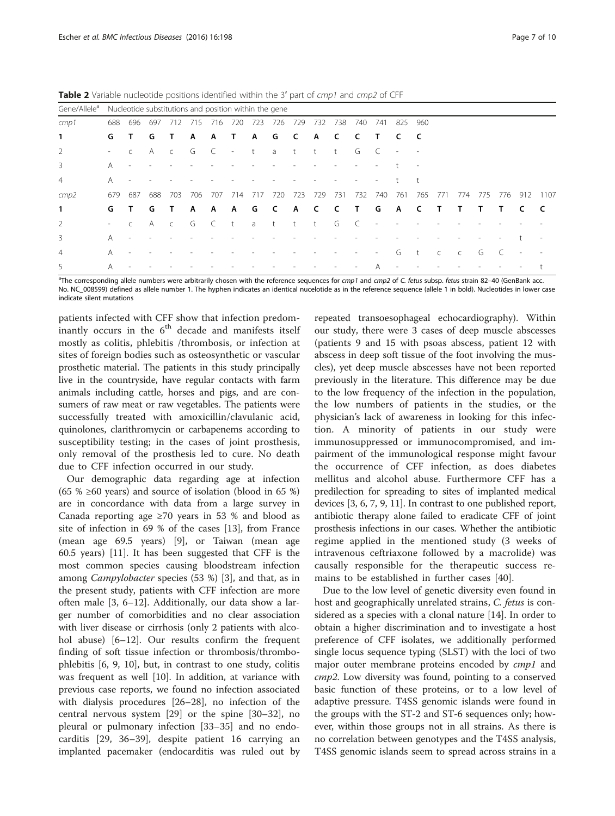|                          |                                                       |           |     | . .       |     |     |                          |     |          | . .          |      |          | . .          |                          |                          |     |           |              |     |     |                          |      |
|--------------------------|-------------------------------------------------------|-----------|-----|-----------|-----|-----|--------------------------|-----|----------|--------------|------|----------|--------------|--------------------------|--------------------------|-----|-----------|--------------|-----|-----|--------------------------|------|
| Gene/Allele <sup>a</sup> | Nucleotide substitutions and position within the gene |           |     |           |     |     |                          |     |          |              |      |          |              |                          |                          |     |           |              |     |     |                          |      |
| cmp1                     | 688                                                   | 696       | 697 | 712       | 715 | 716 | 720                      | 723 | 726      | 729          | 732  | 738      | 740          | 741                      | 825                      | 960 |           |              |     |     |                          |      |
| 1                        | G                                                     | Τ         | G   |           | A   | A   | Т                        | A   | G        | C            | A    | C        | -C           | Т                        | c                        | -C  |           |              |     |     |                          |      |
| 2                        | $\sim$                                                |           | Α   | C         | G   |     | $\overline{\phantom{a}}$ | t   | a        | t            | t    | t        | G            |                          | $\overline{\phantom{a}}$ |     |           |              |     |     |                          |      |
| 3                        | A                                                     |           |     |           |     |     |                          |     |          |              |      |          |              |                          |                          |     |           |              |     |     |                          |      |
| 4                        | A                                                     |           |     |           |     |     |                          |     |          |              |      |          |              |                          |                          |     |           |              |     |     |                          |      |
| cmp2                     | 679                                                   | 687       | 688 | 703       | 706 | 707 | 714                      | 717 | 720      | 723          | 729  | - 731    | 732          | 740                      | 761                      | 765 | 771       | 774          | 775 | 776 | 912                      | 1107 |
| 1                        | G                                                     | Τ         | G   |           | A   | A   | A                        | G   | <b>C</b> | A C          |      | <b>C</b> | $\mathsf{T}$ | G                        | A                        | C   | Т         | Т            | т   | л.  | C                        | C    |
| 2                        | $\sim$                                                | $\subset$ | A   | $\subset$ | G   | C   | $+$                      | a   | t        | $^{\dagger}$ | $-t$ | G        |              |                          |                          |     |           |              |     |     |                          |      |
| 3                        | A                                                     |           |     |           |     |     |                          |     |          |              |      |          |              |                          |                          |     |           |              |     |     |                          |      |
| $\overline{4}$           | A                                                     |           |     |           |     |     |                          |     |          |              |      |          |              | $\overline{\phantom{a}}$ | G                        |     | $\subset$ | $\mathsf{C}$ | G   |     | $\overline{\phantom{a}}$ |      |
| 5                        | A                                                     |           |     |           |     |     |                          |     |          |              |      |          |              | A                        |                          |     |           |              |     |     |                          |      |

<span id="page-6-0"></span>Table 2 Variable nucleotide positions identified within the 3' part of cmp1 and cmp2 of CFF

The corresponding allele numbers were arbitrarily chosen with the reference sequences for cmp1 and cmp2 of C. fetus subsp. fetus strain 82–40 (GenBank acc.)<br>No. NG 008599) defined as allele number 1. The byphen indicates a No. NC\_008599) defined as allele number 1. The hyphen indicates an identical nucelotide as in the reference sequence (allele 1 in bold). Nucleotides in lower case indicate silent mutations

patients infected with CFF show that infection predominantly occurs in the  $6<sup>th</sup>$  decade and manifests itself mostly as colitis, phlebitis /thrombosis, or infection at sites of foreign bodies such as osteosynthetic or vascular prosthetic material. The patients in this study principally live in the countryside, have regular contacts with farm animals including cattle, horses and pigs, and are consumers of raw meat or raw vegetables. The patients were successfully treated with amoxicillin/clavulanic acid, quinolones, clarithromycin or carbapenems according to susceptibility testing; in the cases of joint prosthesis, only removal of the prosthesis led to cure. No death due to CFF infection occurred in our study.

Our demographic data regarding age at infection (65 %  $\geq$  60 years) and source of isolation (blood in 65 %) are in concordance with data from a large survey in Canada reporting age  $\geq 70$  years in 53 % and blood as site of infection in 69 % of the cases [\[13\]](#page-8-0), from France (mean age 69.5 years) [\[9](#page-8-0)], or Taiwan (mean age 60.5 years) [\[11](#page-8-0)]. It has been suggested that CFF is the most common species causing bloodstream infection among Campylobacter species (53 %) [[3](#page-8-0)], and that, as in the present study, patients with CFF infection are more often male [[3, 6](#page-8-0)–[12](#page-8-0)]. Additionally, our data show a larger number of comorbidities and no clear association with liver disease or cirrhosis (only 2 patients with alco-hol abuse) [\[6](#page-8-0)-[12\]](#page-8-0). Our results confirm the frequent finding of soft tissue infection or thrombosis/thrombophlebitis [\[6](#page-8-0), [9](#page-8-0), [10\]](#page-8-0), but, in contrast to one study, colitis was frequent as well [[10\]](#page-8-0). In addition, at variance with previous case reports, we found no infection associated with dialysis procedures [\[26](#page-8-0)–[28\]](#page-8-0), no infection of the central nervous system [[29\]](#page-8-0) or the spine [[30](#page-8-0)–[32](#page-8-0)], no pleural or pulmonary infection [\[33](#page-8-0)–[35\]](#page-8-0) and no endocarditis [\[29](#page-8-0), [36](#page-8-0)–[39\]](#page-8-0), despite patient 16 carrying an implanted pacemaker (endocarditis was ruled out by

repeated transoesophageal echocardiography). Within our study, there were 3 cases of deep muscle abscesses (patients 9 and 15 with psoas abscess, patient 12 with abscess in deep soft tissue of the foot involving the muscles), yet deep muscle abscesses have not been reported previously in the literature. This difference may be due to the low frequency of the infection in the population, the low numbers of patients in the studies, or the physician's lack of awareness in looking for this infection. A minority of patients in our study were immunosuppressed or immunocompromised, and impairment of the immunological response might favour the occurrence of CFF infection, as does diabetes mellitus and alcohol abuse. Furthermore CFF has a predilection for spreading to sites of implanted medical devices [\[3](#page-8-0), [6, 7](#page-8-0), [9](#page-8-0), [11](#page-8-0)]. In contrast to one published report, antibiotic therapy alone failed to eradicate CFF of joint prosthesis infections in our cases. Whether the antibiotic regime applied in the mentioned study (3 weeks of intravenous ceftriaxone followed by a macrolide) was causally responsible for the therapeutic success remains to be established in further cases [[40\]](#page-8-0).

Due to the low level of genetic diversity even found in host and geographically unrelated strains, C. fetus is considered as a species with a clonal nature [\[14](#page-8-0)]. In order to obtain a higher discrimination and to investigate a host preference of CFF isolates, we additionally performed single locus sequence typing (SLST) with the loci of two major outer membrane proteins encoded by *cmp1* and cmp2. Low diversity was found, pointing to a conserved basic function of these proteins, or to a low level of adaptive pressure. T4SS genomic islands were found in the groups with the ST-2 and ST-6 sequences only; however, within those groups not in all strains. As there is no correlation between genotypes and the T4SS analysis, T4SS genomic islands seem to spread across strains in a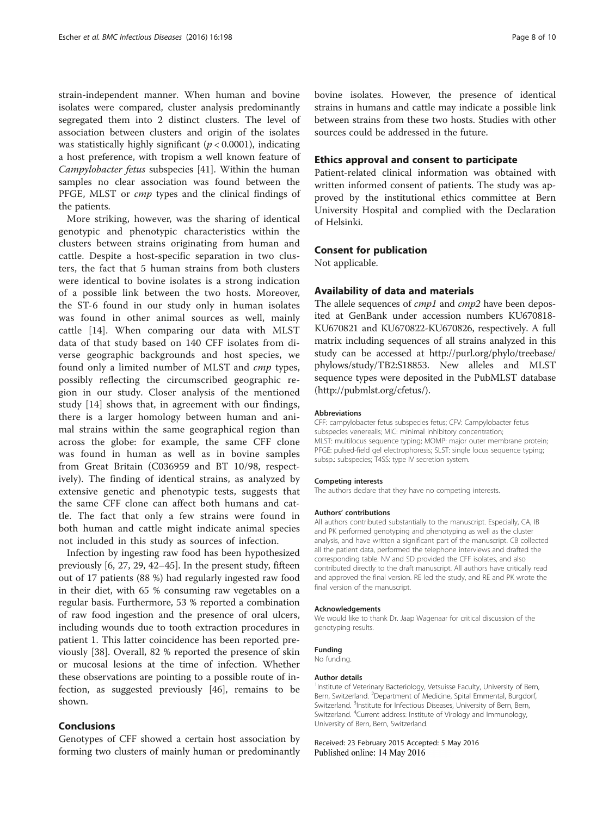strain-independent manner. When human and bovine isolates were compared, cluster analysis predominantly segregated them into 2 distinct clusters. The level of association between clusters and origin of the isolates was statistically highly significant ( $p < 0.0001$ ), indicating a host preference, with tropism a well known feature of Campylobacter fetus subspecies [\[41\]](#page-8-0). Within the human samples no clear association was found between the PFGE, MLST or *cmp* types and the clinical findings of the patients.

More striking, however, was the sharing of identical genotypic and phenotypic characteristics within the clusters between strains originating from human and cattle. Despite a host-specific separation in two clusters, the fact that 5 human strains from both clusters were identical to bovine isolates is a strong indication of a possible link between the two hosts. Moreover, the ST-6 found in our study only in human isolates was found in other animal sources as well, mainly cattle [\[14](#page-8-0)]. When comparing our data with MLST data of that study based on 140 CFF isolates from diverse geographic backgrounds and host species, we found only a limited number of MLST and cmp types, possibly reflecting the circumscribed geographic region in our study. Closer analysis of the mentioned study [\[14](#page-8-0)] shows that, in agreement with our findings, there is a larger homology between human and animal strains within the same geographical region than across the globe: for example, the same CFF clone was found in human as well as in bovine samples from Great Britain (C036959 and BT 10/98, respectively). The finding of identical strains, as analyzed by extensive genetic and phenotypic tests, suggests that the same CFF clone can affect both humans and cattle. The fact that only a few strains were found in both human and cattle might indicate animal species not included in this study as sources of infection.

Infection by ingesting raw food has been hypothesized previously [\[6](#page-8-0), [27](#page-8-0), [29, 42](#page-8-0)–[45\]](#page-9-0). In the present study, fifteen out of 17 patients (88 %) had regularly ingested raw food in their diet, with 65 % consuming raw vegetables on a regular basis. Furthermore, 53 % reported a combination of raw food ingestion and the presence of oral ulcers, including wounds due to tooth extraction procedures in patient 1. This latter coincidence has been reported previously [[38](#page-8-0)]. Overall, 82 % reported the presence of skin or mucosal lesions at the time of infection. Whether these observations are pointing to a possible route of infection, as suggested previously [[46](#page-9-0)], remains to be shown.

## Conclusions

Genotypes of CFF showed a certain host association by forming two clusters of mainly human or predominantly bovine isolates. However, the presence of identical strains in humans and cattle may indicate a possible link between strains from these two hosts. Studies with other sources could be addressed in the future.

#### Ethics approval and consent to participate

Patient-related clinical information was obtained with written informed consent of patients. The study was approved by the institutional ethics committee at Bern University Hospital and complied with the Declaration of Helsinki.

#### Consent for publication

Not applicable.

#### Availability of data and materials

The allele sequences of *cmp1* and *cmp2* have been deposited at GenBank under accession numbers KU670818- KU670821 and KU670822-KU670826, respectively. A full matrix including sequences of all strains analyzed in this study can be accessed at [http://purl.org/phylo/treebase/](http://purl.org/phylo/treebase/phylows/study/TB2:S18853) [phylows/study/TB2:S18853.](http://purl.org/phylo/treebase/phylows/study/TB2:S18853) New alleles and MLST sequence types were deposited in the PubMLST database ([http://pubmlst.org/cfetus/\)](http://pubmlst.org/cfetus/).

#### Abbreviations

CFF: campylobacter fetus subspecies fetus; CFV: Campylobacter fetus subspecies venerealis; MIC: minimal inhibitory concentration; MLST: multilocus sequence typing; MOMP: major outer membrane protein; PFGE: pulsed-field gel electrophoresis; SLST: single locus sequence typing; subsp.: subspecies; T4SS: type IV secretion system.

#### Competing interests

The authors declare that they have no competing interests.

#### Authors' contributions

All authors contributed substantially to the manuscript. Especially, CA, IB and PK performed genotyping and phenotyping as well as the cluster analysis, and have written a significant part of the manuscript. CB collected all the patient data, performed the telephone interviews and drafted the corresponding table. NV and SD provided the CFF isolates, and also contributed directly to the draft manuscript. All authors have critically read and approved the final version. RE led the study, and RE and PK wrote the final version of the manuscript.

#### Acknowledgements

We would like to thank Dr. Jaap Wagenaar for critical discussion of the genotyping results.

#### Funding

No funding.

#### Author details

<sup>1</sup>Institute of Veterinary Bacteriology, Vetsuisse Faculty, University of Bern, Bern, Switzerland. <sup>2</sup>Department of Medicine, Spital Emmental, Burgdorf, Switzerland. <sup>3</sup>Institute for Infectious Diseases, University of Bern, Bern, Switzerland. <sup>4</sup> Current address: Institute of Virology and Immunology, University of Bern, Bern, Switzerland.

#### Received: 23 February 2015 Accepted: 5 May 2016 Published online: 14 May 2016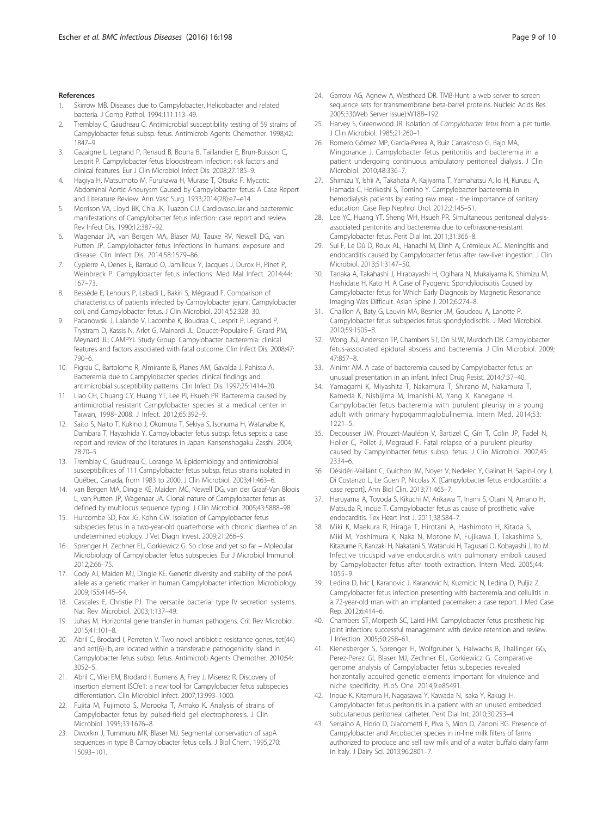#### <span id="page-8-0"></span>References

- Skirrow MB. Diseases due to Campylobacter, Helicobacter and related bacteria. J Comp Pathol. 1994;111:113–49.
- 2. Tremblay C, Gaudreau C. Antimicrobial susceptibility testing of 59 strains of Campylobacter fetus subsp. fetus. Antimicrob Agents Chemother. 1998;42: 1847–9.
- 3. Gazaigne L, Legrand P, Renaud B, Bourra B, Taillandier E, Brun-Buisson C, Lesprit P. Campylobacter fetus bloodstream infection: risk factors and clinical features. Eur J Clin Microbiol Infect Dis. 2008;27:185–9.
- 4. Hagiya H, Matsumoto M, Furukawa H, Murase T, Otsuka F. Mycotic Abdominal Aortic Aneurysm Caused by Campylobacter fetus: A Case Report and Literature Review. Ann Vasc Surg. 1933;2014(28):e7–e14.
- 5. Morrison VA, Lloyd BK, Chia JK, Tuazon CU. Cardiovascular and bacteremic manifestations of Campylobacter fetus infection: case report and review. Rev Infect Dis. 1990;12:387–92.
- 6. Wagenaar JA, van Bergen MA, Blaser MJ, Tauxe RV, Newell DG, van Putten JP. Campylobacter fetus infections in humans: exposure and disease. Clin Infect Dis. 2014;58:1579–86.
- 7. Cypierre A, Denes E, Barraud O, Jamilloux Y, Jacques J, Durox H, Pinet P, Weinbreck P. Campylobacter fetus infections. Med Mal Infect. 2014;44: 167–73.
- 8. Bessède E, Lehours P, Labadi L, Bakiri S, Mégraud F. Comparison of characteristics of patients infected by Campylobacter jejuni, Campylobacter coli, and Campylobacter fetus. J Clin Microbiol. 2014;52:328–30.
- Pacanowski J, Lalande V, Lacombe K, Boudraa C, Lesprit P, Legrand P Trystram D, Kassis N, Arlet G, Mainardi JL, Doucet-Populaire F, Girard PM, Meynard JL; CAMPYL Study Group. Campylobacter bacteremia: clinical features and factors associated with fatal outcome. Clin Infect Dis. 2008;47: 790–6.
- 10. Pigrau C, Bartolome R, Almirante B, Planes AM, Gavalda J, Pahissa A. Bacteremia due to Campylobacter species: clinical findings and antimicrobial susceptibility patterns. Clin Infect Dis. 1997;25:1414–20.
- 11. Liao CH, Chuang CY, Huang YT, Lee PI, Hsueh PR. Bacteremia caused by antimicrobial resistant Campylobacter species at a medical center in Taiwan, 1998–2008. J Infect. 2012;65:392–9.
- 12. Saito S, Naito T, Kukino J, Okumura T, Sekiya S, Isonuma H, Watanabe K, Dambara T, Hayashida Y. Campylobacter fetus subsp. fetus sepsis: a case report and review of the literatures in Japan. Kansenshogaku Zasshi. 2004; 78:70–5.
- 13. Tremblay C, Gaudreau C, Lorange M. Epidemiology and antimicrobial susceptibilities of 111 Campylobacter fetus subsp. fetus strains isolated in Québec, Canada, from 1983 to 2000. J Clin Microbiol. 2003;41:463–6.
- 14. van Bergen MA, Dingle KE, Maiden MC, Newell DG, van der Graaf-Van Bloois L, van Putten JP, Wagenaar JA. Clonal nature of Campylobacter fetus as defined by multilocus sequence typing. J Clin Microbiol. 2005;43:5888–98.
- 15. Hurcombe SD, Fox JG, Kohn CW. Isolation of Campylobacter fetus subspecies fetus in a two-year-old quarterhorse with chronic diarrhea of an undetermined etiology. J Vet Diagn Invest. 2009;21:266–9.
- 16. Sprenger H, Zechner EL, Gorkiewicz G. So close and yet so far Molecular Microbiology of Campylobacter fetus subspecies. Eur J Microbiol Immunol. 2012;2:66–75.
- 17. Cody AJ, Maiden MJ, Dingle KE. Genetic diversity and stability of the porA allele as a genetic marker in human Campylobacter infection. Microbiology. 2009;155:4145–54.
- 18. Cascales E, Christie PJ. The versatile bacterial type IV secretion systems. Nat Rev Microbiol. 2003;1:137–49.
- 19. Juhas M. Horizontal gene transfer in human pathogens. Crit Rev Microbiol. 2015;41:101–8.
- 20. Abril C, Brodard I, Perreten V. Two novel antibiotic resistance genes, tet(44) and ant(6)-Ib, are located within a transferable pathogenicity island in Campylobacter fetus subsp. fetus. Antimicrob Agents Chemother. 2010;54: 3052–5.
- 21. Abril C, Vilei EM, Brodard I, Burnens A, Frey J, Miserez R. Discovery of insertion element ISCfe1: a new tool for Campylobacter fetus subspecies differentiation. Clin Microbiol Infect. 2007;13:993–1000.
- 22. Fujita M, Fujimoto S, Morooka T, Amako K. Analysis of strains of Campylobacter fetus by pulsed-field gel electrophoresis. J Clin Microbiol. 1995;33:1676–8.
- 23. Dworkin J, Tummuru MK, Blaser MJ. Segmental conservation of sapA sequences in type B Campylobacter fetus cells. J Biol Chem. 1995;270: 15093–101.
- 24. Garrow AG, Agnew A, Westhead DR. TMB-Hunt: a web server to screen sequence sets for transmembrane beta-barrel proteins. Nucleic Acids Res. 2005;33(Web Server issue):W188–192.
- 25. Harvey S, Greenwood JR. Isolation of Campylobacter fetus from a pet turtle. J Clin Microbiol. 1985;21:260–1.
- 26. Romero Gómez MP, García-Perea A, Ruiz Carrascoso G, Bajo MA, Mingorance J. Campylobacter fetus peritonitis and bacteremia in a patient undergoing continuous ambulatory peritoneal dialysis. J Clin Microbiol. 2010;48:336–7.
- 27. Shimizu Y, Ishii A, Takahata A, Kajiyama T, Yamahatsu A, Io H, Kurusu A, Hamada C, Horikoshi S, Tomino Y. Campylobacter bacteremia in hemodialysis patients by eating raw meat - the importance of sanitary education. Case Rep Nephrol Urol. 2012;2:145–51.
- 28. Lee YC, Huang YT, Sheng WH, Hsueh PR. Simultaneous peritoneal dialysisassociated peritonitis and bacteremia due to ceftriaxone-resistant Campylobacter fetus. Perit Dial Int. 2011;31:366–8.
- 29. Sui F, Le Dû D, Roux AL, Hanachi M, Dinh A, Crémieux AC. Meningitis and endocarditis caused by Campylobacter fetus after raw-liver ingestion. J Clin Microbiol. 2013;51:3147–50.
- 30. Tanaka A, Takahashi J, Hirabayashi H, Ogihara N, Mukaiyama K, Shimizu M, Hashidate H, Kato H. A Case of Pyogenic Spondylodiscitis Caused by Campylobacter fetus for Which Early Diagnosis by Magnetic Resonance Imaging Was Difficult. Asian Spine J. 2012;6:274–8.
- 31. Chaillon A, Baty G, Lauvin MA, Besnier JM, Goudeau A, Lanotte P. Campylobacter fetus subspecies fetus spondylodiscitis. J Med Microbiol. 2010;59:1505–8.
- 32. Wong JSJ, Anderson TP, Chambers ST, On SLW, Murdoch DR. Campylobacter fetus-associated epidural abscess and bacteremia. J Clin Microbiol. 2009; 47:857–8.
- 33. Alnimr AM. A case of bacteremia caused by Campylobacter fetus: an unusual presentation in an infant. Infect Drug Resist. 2014;7:37–40.
- 34. Yamagami K, Miyashita T, Nakamura T, Shirano M, Nakamura T, Kameda K, Nishijima M, Imanishi M, Yang X, Kanegane H. Campylobacter fetus bacteremia with purulent pleurisy in a young adult with primary hypogammaglobulinemia. Intern Med. 2014;53: 1221–5.
- 35. Decousser JW, Prouzet-Mauléon V, Bartizel C, Gin T, Colin JP, Fadel N, Holler C, Pollet J, Megraud F. Fatal relapse of a purulent pleurisy caused by Campylobacter fetus subsp. fetus. J Clin Microbiol. 2007;45: 2334–6.
- 36. Désidéri-Vaillant C, Guichon JM, Noyer V, Nedelec Y, Galinat H, Sapin-Lory J, Di Costanzo L, Le Guen P, Nicolas X. [Campylobacter fetus endocarditis: a case report]. Ann Biol Clin. 2013;71:465–7.
- 37. Haruyama A, Toyoda S, Kikuchi M, Arikawa T, Inami S, Otani N, Amano H, Matsuda R, Inoue T. Campylobacter fetus as cause of prosthetic valve endocarditis. Tex Heart Inst J. 2011;38:584–7.
- 38. Miki K, Maekura R, Hiraga T, Hirotani A, Hashimoto H, Kitada S, Miki M, Yoshimura K, Naka N, Motone M, Fujikawa T, Takashima S, Kitazume R, Kanzaki H, Nakatani S, Watanuki H, Tagusari O, Kobayashi J, Ito M. Infective tricuspid valve endocarditis with pulmonary emboli caused by Campylobacter fetus after tooth extraction. Intern Med. 2005;44: 1055–9.
- 39. Ledina D, Ivic I, Karanovic J, Karanovic N, Kuzmicic N, Ledina D, Puljiz Z. Campylobacter fetus infection presenting with bacteremia and cellulitis in a 72-year-old man with an implanted pacemaker: a case report. J Med Case Rep. 2012;6:414–6.
- 40. Chambers ST, Morpeth SC, Laird HM. Campylobacter fetus prosthetic hip joint infection: successful management with device retention and review. J Infection. 2005;50:258–61.
- 41. Kienesberger S, Sprenger H, Wolfgruber S, Halwachs B, Thallinger GG, Perez-Perez GI, Blaser MJ, Zechner EL, Gorkiewicz G. Comparative genome analysis of Campylobacter fetus subspecies revealed horizontally acquired genetic elements important for virulence and niche specificity. PLoS One. 2014;9:e85491.
- 42. Inoue K, Kitamura H, Nagasawa Y, Kawada N, Isaka Y, Rakugi H. Campylobacter fetus peritonitis in a patient with an unused embedded subcutaneous peritoneal catheter. Perit Dial Int. 2010;30:253–4.
- 43. Serraino A, Florio D, Giacometti F, Piva S, Mion D, Zanoni RG. Presence of Campylobacter and Arcobacter species in in-line milk filters of farms authorized to produce and sell raw milk and of a water buffalo dairy farm in Italy. J Dairy Sci. 2013;96:2801–7.